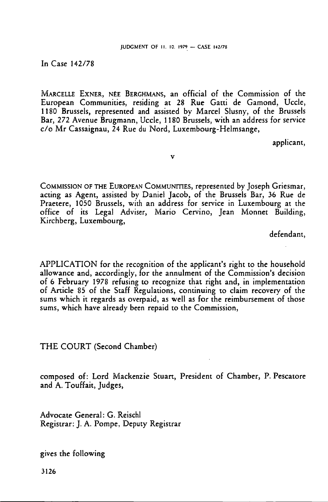In Case 142/78

MARCELLE EXNER, NÉE BERGHMANS, an official of the Commission of the European Communities, residing at 28 Rue Gatti de Gamond, Uccle, 1180 Brussels, represented and assisted by Marcel Slusny, of the Brussels Bar, 272 Avenue Brugmann, Uccle, 1180 Brussels, with an address for service c/o Mr Cassaignau, 24 Rue du Nord, Luxembourg-Helmsange,

v

applicant,

COMMISSION OF THE EUROPEAN COMMUNITIES, represented by Joseph Griesmar, acting as Agent, assisted by Daniel Jacob, of the Brussels Bar, 36 Rue de Praetere, 1050 Brussels, with an address for service in Luxembourg at the office of its Legal Adviser, Mario Cervino, Jean Monnet Building, Kirchberg, Luxembourg,

defendant,

APPLICATION for the recognition of the applicant's right to the household allowance and, accordingly, for the annulment of the Commission's decision of 6 February 1978 refusing to recognize that right and, in implementation of Article 85 of the Staff Regulations, continuing to claim recovery of the sums which it regards as overpaid, as well as for the reimbursement of those sums, which have already been repaid to the Commission,

THE COURT (Second Chamber)

composed of: Lord Mackenzie Stuart, President of Chamber, P. Pescatore and A. Touffait, Judges,

Advocate General: G. Reischl Registrar: J. A. Pompe, Deputy Registrar

gives the following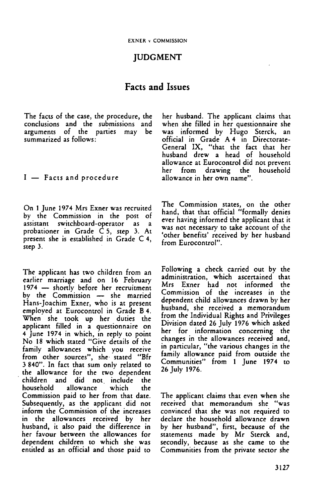# JUDGMENT

# Facts and Issues

The facts of the case, the procedure, the conclusions and the submissions and arguments of the parties may be summarized as follows:

I — Facts and procedure

On <sup>1</sup> June 1974 Mrs Exner was recruited by the Commission in the post of assistant switchboard-operator as a probationer in Grade C 5, step 3. At present she is established in Grade C 4, step 3.

The applicant has two children from an earlier marriage and on 16 February 1974 — shortly before her recruitment by the Commission — she married Hans-Joachim Exner, who is at present employed at Eurocontrol in Grade B 4. When she took up her duties the applicant filled in a questionnaire on 4 June 1974 in which, in reply to point No <sup>18</sup> which stated "Give details of the family allowances which you receive from other sources", she stated "Bfr 3840". In fact that sum only related to the allowance for the two dependent<br>children and did not include the children and did not include household allowance which the Commission paid to her from that date. Subsequently, as the applicant did not inform the Commission of the increases in the allowances received by her husband, it also paid the difference in her favour between the allowances for dependent children to which she was entitled as an official and those paid to

her husband. The applicant claims that when she filled in her questionnaire she was informed by Hugo Sterck, an official in Grade A 4 in Directorate-General IX, "that the fact that her husband drew a head of household allowance at Eurocontrol did not prevent<br>her from drawing the household drawing the allowance in her own name".

The Commission states, on the other hand, that that official "formally denies ever having informed the applicant that it was not necessary to take account of the 'other benefits' received by her husband from Eurocontrol".

Following a check carried out by the administration, which ascertained that Mrs Exner had not informed the Commission of the increases in the dependent child allowances drawn by her husband, she received a memorandum from the Individual Rights and Privileges Division dated 26 July 1976 which asked her for information concerning the changes in the allowances received and, in particular, "the various changes in the family allowance paid from outside the Communities" from <sup>1</sup> June 1974 to 26 July 1976.

The applicant claims that even when she received that memorandum she "was convinced that she was not required to declare the household allowance drawn by her husband", first, because of the statements made by Mr Sterck and, secondly, because as she came to the Communities from the private sector she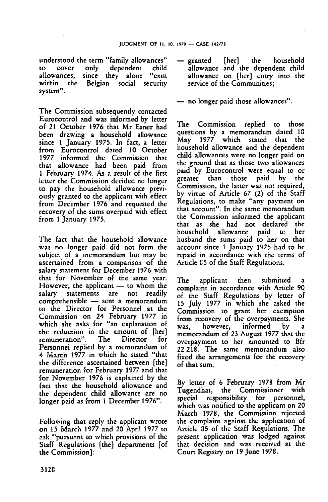understood the term "family allowances"<br>to cover only dependent child to cover only dependent child<br>allowances, since they alone "exist allowances, since they alone<br>within the Belgian social so Belgian social security system".

The Commission subsequently contacted Eurocontrol and was informed by letter of <sup>21</sup> October 1976 that Mr Exner had been drawing a household allowance since <sup>1</sup> January 1975. In fact, a letter from Eurocontrol dated 10 October 1977 informed the Commission that that allowance had been paid from <sup>1</sup> February 1974. As a result of the first letter the Commission decided no longer to pay the household allowance previously granted to the applicant with effect from December 1976 and requested the recovery of the sums overpaid with effect from <sup>1</sup> January 1975.

The fact that the household allowance was no longer paid did not form the subject of <sup>a</sup> memorandum but may be ascertained from <sup>a</sup> comparison of the salary statement for December 1976 with that for November of the same year. However, the applicant — to whom the<br>salary statements are not readily statements are not readily comprehensible — sent <sup>a</sup> memorandum to the Director for Personnel at the Commission on 24 February 1977 in which she asks for "an explanation of the reduction in the amount of [her]<br>remuneration". The Director for remuneration". Personnel replied by <sup>a</sup> memorandum of 4 March 1977 in which he stated "that the difference ascertained between [the] remuneration for February 1977 and that for November 1976 is explained by the fact that the household allowance and the dependent child allowance are no longer paid as from <sup>1</sup> December 1976".

Following that reply the applicant wrote on 15 March 1977 and 20 April 1977 to ask "pursuant to which provisions of the Staff Regulations [the] departments [of the Commission]:

- granted [her] the household allowance and the dependent child allowance on [her] entry into the service of the Communities;
- no longer paid those allowances".

The Commission replied to those questions by a memorandum dated 18 May 1977 which stated that the household allowance and the dependent child allowances were no longer paid on the ground that as those two allowances paid by Eurocontrol were equal to or<br>greater than those paid by the greater than Commission, the latter was not required, by virtue of Article 67 (2) of the Staff Regulations, to make "any payment on that account". In the same memorandum the Commission informed the applicant that as she had not declared the household allowance paid to her husband the sums paid to her on that account since <sup>1</sup> January 1975 had to be repaid in accordance with the terms of Article 85 of the Staff Regulations.

The applicant then submitted complaint in accordance with Article 90 of the Staff Regulations by letter of 15 July 1977 in which she asked the Commission to grant her exemption from recovery of the overpayments. She was, however, informed by memorandum of 23 August 1977 that the overpayment to her amounted to Bfr 22 218. The same memorandum also fixed the arrangements for the recovery of that sum.

By letter of 6 February 1978 from Mr Tugendhat, the Commissioner with special responsibility for personnel, which was notified to the applicant on 20 March 1978, the Commission rejected the complaint against the application of Article 85 of the Staff Regulations. The present application was lodged against that decision and was received at the Court Registry on 19 June 1978.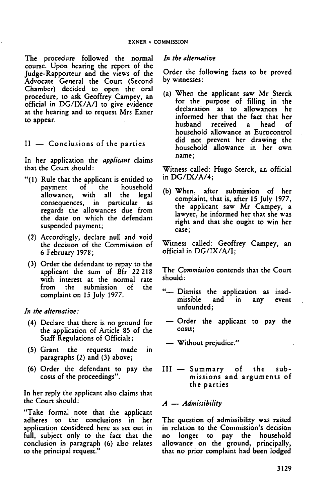The procedure followed the normal course. Upon hearing the report of the Judge-Rapporteur and the views of the Advocate General the Court (Second Chamber) decided to open the oral procedure, to ask Geoffrey Campey, an official in DG/IX/A/I to give evidence at the hearing and to request Mrs Exner to appear.

### II — Conclusions of the parties

In her application the *applicant* claims that the Court should:

- "(1) Rule that the applicant is entitled to payment of the household<br>allowance, with all the legal with all consequences, in particular as regards the allowances due from the date on which the defendant suspended payment;
	- (2) Accordingly, declare null and void the decision of the Commission of 6 February 1978;
- (3) Order the defendant to repay to the applicant the sum of Bfr 22 218 with interest at the normal rate from the submission of the complaint on 15 July 1977.

*In the alternative:*

- (4) Declare that there is no ground for the application of Article 85 of the Staff Regulations of Officials;
- (5) Grant the requests made in paragraphs (2) and (3) above;
- (6) Order the defendant to pay the costs of the proceedings".

In her reply the applicant also claims that the Court should:

'Take formal note that the applicant adheres to the conclusions in her application considered here as set out in full, subject only to the fact that the conclusion in paragraph (6) also relates to the principal request."

#### *In the alternative*

Order the following facts to be proved by witnesses:

(a) When the applicant saw Mr Sterck for the purpose of filling in the declaration as to allowances he informed her that the fact that her husband received <sup>a</sup> head of household allowance at Eurocontrol did not prevent her drawing the household allowance in her own name;

Witness called: Hugo Sterck, an official in DG/IX/A/4;

(b) When, after submission of her complaint, that is, after 15 July 1977, the applicant saw Mr Campey, <sup>a</sup> lawyer, he informed her that she was right and that she ought to win her case;

Witness called: Geoffrey Campey, an official in DG/IX/A/I;

The *Commission* contends that the Court should:

- "— Dismiss the application as inad-<br>missible and in any event missible unfounded;
- Order the applicant to pay the costs;
- Without prejudice."
- III Summary of the submissions and arguments of the parties

### *A — Admissibility*

The question of admissibility was raised in relation to the Commission's decision no longer to pay the household allowance on the ground, principally, that no prior complaint had been lodged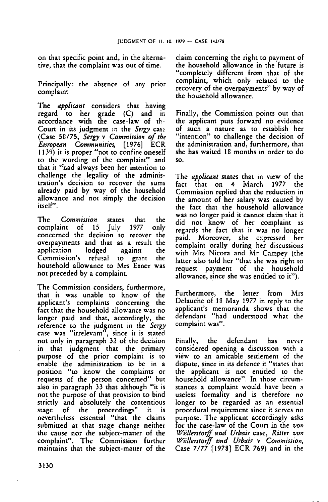on that specific point and, in the alternative, that the complaint was out of time.

Principally: the absence of any prior complaint

The *applicant* considers that having regard to her grade (C) and in accordance with the case-law of the Court in its judgment in the *Sergy* case (Case 58/75, *Sergy* v *Commission of the European Communities,* [1976] ECR 1139) it is proper "not to confine oneself to the wording of the complaint" and that it "had always been her intention to challenge the legality of the administration's decision to recover the sums already paid by way of the household allowance and not simply the decision itself".

The *Commission* states that the complaint of <sup>15</sup> July 1977 only concerned the decision to recover the overpayments and that as a result the application lodged against the Commission's refusal to grant the household allowance to Mrs Exner was not preceded by a complaint.

The Commission considers, furthermore, that it was unable to know of the applicant's complaints concerning the fact that the household allowance was no longer paid and that, accordingly, the reference to the judgment in the *Sergy* case was "irrelevant", since it is stated not only in paragraph 32 of the decision in that judgment that the primary purpose of the prior complaint is to enable the administration to be in a position "to know the complaints or requests of the person concerned" but also in paragraph <sup>33</sup> that although "it is not the purpose of that provision to bind strictly and absolutely the contentious stage of the proceedings" it is nevertheless essential "that the claims submitted at that stage change neither the cause nor the subject-matter of the complaint". The Commission further maintains that the subject-matter of the

claim concerning the right to payment of the household allowance in the future is "completely different from that of the complaint, which only related to the recovery of the overpayments" by way of the household allowance.

Finally, the Commission points out that the applicant puts forward no evidence of such a nature as to establish her "intention" to challenge the decision of the administration and, furthermore, that she has waited 18 months in order to do so.

The *applicant* states that in view of the fact that on 4 March Commission replied that the reduction in the amount of her salary was caused by the fact that the household allowance was no longer paid it cannot claim that it did not know of her complaint as regards the fact that it was no longer paid. Moreover, she expressed her complaint orally during her discussions with Mrs Nicora and Mr Campey (the latter also told her "that she was right to request payment of the household allowance, since she was entitled to it").

Furthermore, the letter from Mrs Delauche of 18 May 1977 in reply to the applicant's memoranda shows that the defendant "had understood what the complaint was".

Finally, the defendant has never considered opening a discussion with <sup>a</sup> view to an amicable settlement of the dispute, since in its defence it "states that the applicant is not entitled to the household allowance". In those circumstances a complaint would have been <sup>a</sup> useless formality and is therefore no longer to be regarded as an essential procedural requirement since it serves no purpose. The applicant accordingly asks for the case-law of the Court in the *von Wüllerstorff und Urbair* case, *Ritter von Wüllerstorff und Urbair* v *Commission,* Case 7/77 [1978] ECR 769) and in the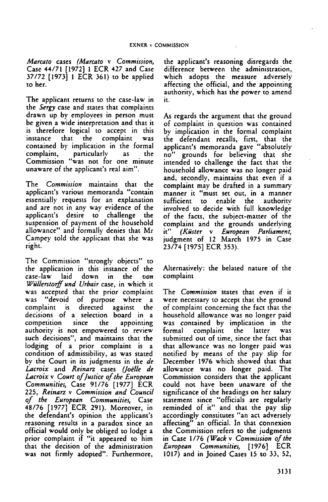*Marcato* cases *(Marcato* v *Commission,* Case 44/71 [1972] <sup>1</sup> ECR 427 and Case 37/72 [1973] <sup>1</sup> ECR 361) to be applied to her.

The applicant returns to the case-law in the *Sergy* case and states that complaints drawn up by employees in person must be given a wide interpretation and that it is therefore logical to accept in this instance that the complaint contained by implication in the formal complaint, particularly as the Commission "was not for one minute unaware of the applicant's real aim".

The *Commission* maintains that the applicant's various memoranda "contain essentially requests for an explanation and are not in any way evidence of the<br>applicant's desire to challenge the applicant's desire to challenge the suspension of payment of the household allowance" and formally denies that Mr Campey told the applicant that she was right.

The Commission "strongly objects" to the application in this instance of the case-law laid down in the *von Wüllerstorff und Urbair* case, in which it was accepted that the prior complaint<br>was "devoid of purpose where a "devoid of purpose where a complaint is directed against the decisions of <sup>a</sup> selection board in <sup>a</sup> competition since the appointing authority is not empowered to review such decisions", and maintains that the lodging of a prior complaint is a condition of admissibility, as was stated by the Court in its judgments in the *de Lacroix* and *Reinarz* cases *(Joëlle de Lacroix* v Court *ofJustice ofthe European Communities,* Case 91/76 [1977] ECR 225, *Reinarz* v *Commission and Council of the European Communities,* Case 48/76 [1977] ECR 291). Moreover, in the defendant's opinion the applicant's reasoning results in a paradox since an official would only be obliged to lodge a prior complaint if "it appeared to him that the decision of the administration was not firmly adopted". Furthermore,

the applicant's reasoning disregards the difference between the administration, which adopts the measure adversely affecting the official, and the appointing authority, which has the power to amend it.

As regards the argument that the ground of complaint in question was contained by implication in the formal complaint the defendant recalls, first, that the applicant's memoranda gave "absolutely no" grounds for believing that she intended to challenge the fact that the household allowance was no longer paid and, secondly, maintains that even if <sup>a</sup> complaint may be drafted in a summary manner it "must set out, in a manner sufficient to enable the authority involved to decide with full knowledge of the facts, the subject-matter of the complaint and the grounds underlying<br>it" (Küster v European Parliament, it" *(Küster* v *European Parliament,* judgment of <sup>12</sup> March 1975 in Case 23/74 [1975] ECR 353).

Alternatively: the belated nature of the complaint

The *Commission* states that even if it were necessary to accept that the ground of complaint concerning the fact that the household allowance was no longer paid was contained by implication in the complaint submitted out of time, since the fact that that allowance was no longer paid was notified by means of the pay slip for December 1976 which showed that that allowance was no longer paid. The Commission considers that the applicant could not have been unaware of the significance of the headings on her salary statement since "officials are regularly reminded of it" and that the pay slip accordingly constitutes "an act adversely affecting" an official. In that connexion the Commission refers to the judgments in Case 1/76 *(Wack v Commission of the European Communities,* [1976] ECR 1017) and in Joined Cases 15 to 33, 52,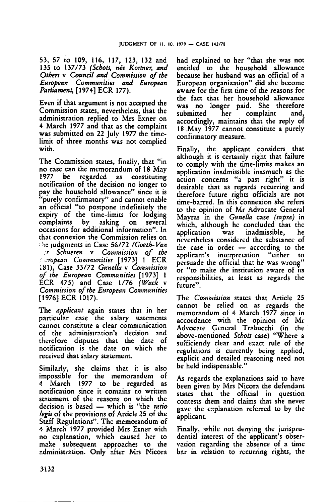53, 57 to 109, 116, 117, 123, 132 and 135 to 137/73 *(Schots, nee Kortner, and Others* v *Council and Commission of the European Communities and European Parliament,* [1974] ECR 177).

Even if that argument is not accepted the Commission states, nevertheless, that the administration replied to Mrs Exner on 4 March 1977 and that as the complaint was submitted on 22 July 1977 the timelimit of three months was not complied with.

The Commission states, finally, that "in no case can the memorandum of 18 May<br>1977 be regarded as constituting regarded as constituting notification of the decision no longer to pay the household allowance" since it is "purely confirmatory" and cannot enable an official "to postpone indefinitely the expiry of the time-limits for lodging<br>complaints by asking on several complaints occasions for additional information". In that connexion the Commission relies on the judgments in Case 56/72 *(Goeth-Van <sup>r</sup> Schueren* v *Commission of the European Communities* [1973] <sup>1</sup> ECR 181), Case 33/72 *Gunella* v *Commission of the European Communities* [1973] <sup>1</sup> ECR 475) and Case 1/76 *(Wack* v *Commission ofthe European Communities* [1976] ECR 1017).

The *applicant* again states that in her particular case the salary statements cannot constitute a clear communication of the administration's decision and therefore disputes that the date of notification is the date on which she received that salary statement.

Similarly, she claims that it is also impossible for the memorandum of March 1977 to be regarded as notification since it contains no written statement of the reasons on which the decision is based — which is "the *ratio legis* of the provisions of Article 25 of the Staff Regulations". The memorandum of 4 March 1977 provided Mrs Exner with no explanation, which caused her to make subsequent approaches to the administration. Only after Mrs Nicora

had explained to her "that she was not entitled to the household allowance because her husband was an official of a European organization" did she become aware for the first time of the reasons for the fact that her household allowance was no longer paid. She therefore submitted her complaint and, accordingly, maintains that the reply of <sup>18</sup> May 1977 cannot constitute <sup>a</sup> purely confirmatory measure.

Finally, the applicant considers that although it is certainly right that failure to comply with the time-limits makes an application inadmissible inasmuch as the action concerns "a past right" it is desirable that as regards recurring and therefore future rights officials are not time-barred. In this connexion she refers to the opinion of Mr Advocate General Mayras in the *Gunella* case *(supra)* in which, although he concluded that the<br>application was inadmissible. he application was inadmissible. nevertheless considered the substance of the case in order – according to the<br>applicant's interpretation "either to applicant's interpretation "either persuade the official that he was wrong" or "to make the institution aware of its responsibilities, at least as regards the future".

The *Commission* states that Article 25 cannot be relied on as regards the memorandum of <sup>4</sup> March 1977 since in accordance with the opinion of Mr Advocate General Trabucchi (in the above-mentioned *Schots* case) "Where a sufficiently clear and exact rule of the regulations is currently being applied, explicit and detailed reasoning need not be held indispensable."

As regards the explanations said to have been given by Mrs Nicora the defendant states that the official in question contests them and claims that she never gave the explanation referred to by the applicant.

Finally, while not denying the jurisprudential interest of the applicant's observation regarding the absence of <sup>a</sup> time bar in relation to recurring rights, the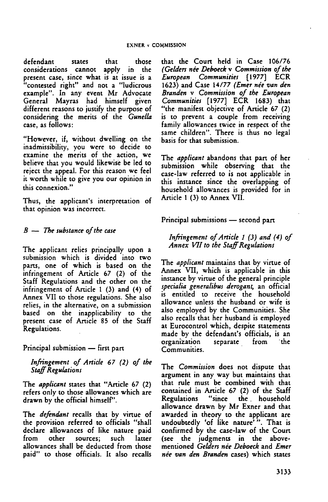defendant states that those considerations cannot apply in the present case, since what is at issue is a "contested right" and not a "ludicrous example". In any event Mr Advocate General Mayras had himself given different reasons to justify the purpose of considering the merits of the *Gunella* case, as follows:

"However, if, without dwelling on the inadmissibility, you were to decide to examine the merits of the action, we believe that you would likewise be led to reject the appeal. For this reason we feel it worth while to give you our opinion in this connexion."

Thus, the applicant's interpretation of that opinion was incorrect.

### *B — The substance ofthe case*

The applicant relies principally upon a submission which is divided into two parts, one of which is based on the infringement of Article 67 (2) of the Staff Regulations and the other on the infringement of Article <sup>1</sup> (3) and (4) of Annex VII to those regulations. She also relies, in the alternative, on a submission based on the inapplicability to the present case of Article 85 of the Staff Regulations.

Principal submission — first part

*Infringement of Article 67 (2) of the StaffRegulations*

The *applicant* states that "Article 67 (2) refers only to those allowances which are drawn by the official himself'.

The *defendant* recalls that by virtue of the provision referred to officials "shall declare allowances of like nature paid sources; allowances shall be deducted from those paid" to those officials. It also recalls that the Court held in Case 106/76 *(Gelders nee Deboeck* v *Commission ofthe European Communities* [1977] ECR 1623) and Case 14/77 *(Emer nee van den Branden* v *Commission of the European Communities* [1977] ECR 1683) that "the manifest objective of Article 67 (2) is to prevent a couple from receiving family allowances twice in respect of the same children". There is thus no legal basis for that submission.

The *applicant* abandons that part of her submission while observing that the case-law referred to is not applicable in this instance since the overlapping of household allowances is provided for in Article <sup>1</sup> (3) to Annex VII.

Principal submissions — second part

#### *Infringement ofArticle 1 (3) and (4) of Annex VII to the StaffRegulations*

The *applicant* maintains that by virtue of Annex VII, which is applicable in this instance by virtue of the general principle *specialia generalibus derogant,* an official is entitled to receive the household allowance unless the husband or wife is also employed by the Communities. She also recalls that her husband is employed at Eurocontrol which, despite statements made by the defendant's officials, is an organization separate from the Communities.

The *Commission* does not dispute that argument in any way but maintains that that rule must be combined with that contained in Article 67 (2) of the Staff "since the household allowance drawn by Mr Exner and that awarded in theory to the applicant are undoubtedly 'of like nature'". That is confirmed by the case-law of the Court (see the judgments in the abovementioned *Gelders nee Deboeck* and *Emer nee van den Branden* cases) which states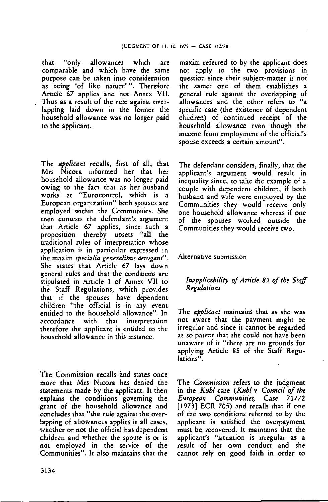that "only allowances which are comparable and which have the same purpose can be taken into consideration as being 'of like nature'". Therefore Article 67 applies and not Annex VII. Thus as a result of the rule against overlapping laid down in the former the household allowance was no longer paid to the applicant.

The *applicant* recalls, first of all, that Mrs Nicora informed her that her household allowance was no longer paid owing to the fact that as her husband works at "Eurocontrol, which is a European organization" both spouses are employed within the Communities. She then contests the defendant's argument that Article 67 applies, since such a proposition thereby upsets "all the traditional rules of interpretation whose application is in particular expressed in the maxim *specialia generalibus derogant".* She states that Article 67 lays down general rules and that the conditions are stipulated in Article <sup>1</sup> of Annex VII to the Staff Regulations, which provides that if the spouses have dependent children "the official is in any event entitled to the household allowance". In accordance with that interpretation therefore the applicant is entitled to the household allowance in this instance.

The Commission recalls and states once more that Mrs Nicora has denied the statements made by the applicant. It then explains the conditions governing the grant of the household allowance and concludes that "the rule against the overlapping of allowances applies in all cases, whether or not the official has dependent children and whether the spouse is or is not employed in the service of the Communities". It also maintains that the

maxim referred to by the applicant does not apply to the two provisions in question since their subject-matter is not the same: one of them establishes <sup>a</sup> general rule against the overlapping of allowances and the other refers to "a specific case (the existence of dependent children) of continued receipt of the household allowance even though the income from employment of the official's spouse exceeds a certain amount".

The defendant considers, finally, that the applicant's argument would result in inequality since, to take the example of a couple with dependent children, if both husband and wife were employed by the Communities they would receive only one household allowance whereas if one of the spouses worked outside the Communities they would receive two.

#### Alternative submission

#### *Inapplicability ofArticle 85 of the Staff Regulations*

The *applicant* maintains that as she was not aware that the payment might be irregular and since it cannot be regarded as so patent that she could not have been unaware of it "there are no grounds for applying Article 85 of the Staff Regulations".

The *Commission* refers to the judgment in the *Kuhl* case *(KM* v *Council of the European Communities,* Case 71/72 [1973] ECR 705) and recalls that if one of the two conditions referred to by the applicant is satisfied the overpayment must be recovered. It maintains that the applicant's "situation is irregular as a result of her own conduct and she cannot rely on good faith in order to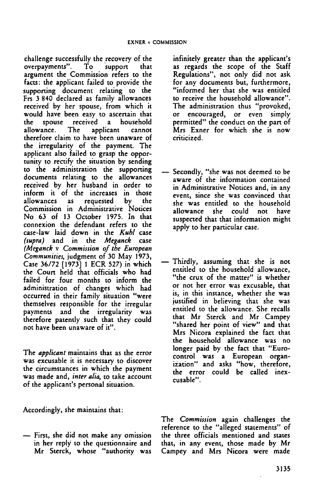challenge successfully the recovery of the<br>overpayments". To support that overpayments". argument the Commission refers to the facts: the applicant failed to provide the supporting document relating to the Frs 3840 declared as family allowances received by her spouse, from which it would have been easy to ascertain that<br>the spouse received a household received a l<br>The applicant allowance. The applicant cannot therefore claim to have been unaware of the irregularity of the payment. The applicant also failed to grasp the opportunity to rectify the situation by sending to the administration the supporting documents relating to the allowances received by her husband in order to inform it of the increases in those allowances as requested by the Commission in Administrative Notices No 63 of 13 October 1975. In that connexion the defendant refers to the case-law laid down in the *Kuhl* case *(supra)* and in the *Meganck* case *(Meganck* v *Commission of the European Communities,* judgment of 30 May 1973, Case 36/72 [1973] <sup>1</sup> ECR 527) in which the Court held that officials who had failed for four months to inform the administration of changes which had occurred in their family situation "were themselves responsible for the irregular payments and the irregularity was therefore patently such that they could not have been unaware of it".

The *applicant* maintains that as the error was excusable it is necessary to discover the circumstances in which the payment was made and, *inter alia,* to take account of the applicant's personal situation.

Accordingly, she maintains that:

— First, she did not make any omission in her reply to the questionnaire and Mr Sterck, whose "authority was infinitely greater than the applicant's as regards the scope of the Staff Regulations", not only did not ask for any documents but, furthermore, "informed her that she was entitled to receive the household allowance". The administration thus "provoked,<br>or encouraged, or even simply encouraged, or even simply permitted" the conduct on the part of Mrs Exner for which she is now criticized.

- Secondly, "she was not deemed to be aware of the information contained in Administrative Notices and, in any event, since she was convinced that she was entitled to the household allowance she could not have suspected that that information might apply to her particular case.
- Thirdly, assuming that she is not entitled to the household allowance, "the crux of the matter" is whether or not her error was excusable, that is, in this instance, whether she was justified in believing that she was entitled to the allowance. She recalls that Mr Sterck and Mr Campey "shared her point of view" and that Mrs Nicora explained the fact that the household allowance was no longer paid by the fact that "Eurocontrol was a European organization" and asks "how, therefore, the error could be called inexcusable".

The *Commission* again challenges the reference to the "alleged statements" of the three officials mentioned and states that, in any event, those made by Mr Campey and Mrs Nicora were made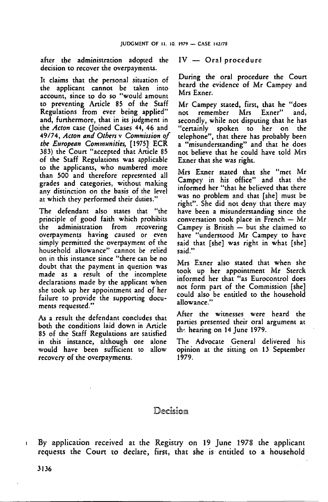after the administration adopted the decision to recover the overpayments.

It claims that the personal situation of the applicant cannot be taken into account, since to do so "would amount to preventing Article 85 of the Staff Regulations from ever being applied" and, furthermore, that in its judgment in the *Acton* case (Joined Cases 44, 46 and 49/74, *Acton and Others* v *Commission of the European Communities,* [1975] ECR 383) the Court "accepted that Article 85 of the Staff Regulations was applicable to the applicants, who numbered more than 500 and therefore represented all grades and categories, without making any distinction on the basis of the level at which they performed their duties."

The defendant also states that "the principle of good faith which prohibits the administration from recovering overpayments having caused or even simply permitted the overpayment of the household allowance" cannot be relied on in this instance since "there can be no doubt that the payment in question was made as a result of the incomplete declarations made by the applicant when she took up her appointment and of her failure to provide the supporting documents requested."

As a result the defendant concludes that both the conditions laid down in Article 85 of the Staff Regulations are satisfied in this instance, although one alone would have been sufficient to allow recovery of the overpayments.

IV — Oral procedure

During the oral procedure the Court heard the evidence of Mr Campey and Mrs Exner.

Mr Campey stated, first, that he "does<br>not remember Mrs Exner" and. not remember Mrs Exner" secondly, while not disputing that he has "certainly spoken to her on telephone", that there has probably been a "misunderstanding" and that he does not believe that he could have told Mrs Exner that she was right.

Mrs Exner stated that she "met Mr Campey in his office" and that the informed her "that he believed that there was no problem and that [she] must be right". She did not deny that there may have been a misunderstanding since the conversation took place in French — Mr Campey is British — but she claimed to have "understood Mr Campey to have said that [she] was right in what [she] said."

Mrs Exner also stated that when she took up her appointment Mr Sterck informed her that "as Eurocontrol does not form part of the Commission [she] could also be entitled to the household allowance."

After the witnesses were heard the parties presented their oral argument at the hearing on 14 June 1979.

The Advocate General delivered his opinion at the sitting on 13 September 1979.

## Decision

<sup>1</sup> By application received at the Registry on 19 June 1978 the applicant requests the Court to declare, first, that she is entitled to a household

3136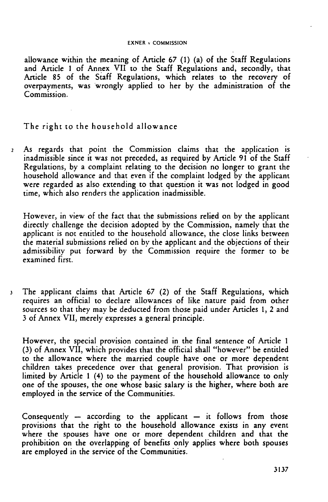#### EXNER v COMMISSION

allowance within the meaning of Article 67 (1) (a) of the Staff Regulations and Article <sup>1</sup> of Annex VII to the Staff Regulations and, secondly, that Article 85 of the Staff Regulations, which relates to the recovery of overpayments, was wrongly applied to her by the administration of the Commission.

The right to the household allowance

<sup>2</sup> As regards that point the Commission claims that the application is inadmissible since it was not preceded, as required by Article <sup>91</sup> of the Staff Regulations, by a complaint relating to the decision no longer to grant the household allowance and that even if the complaint lodged by the applicant were regarded as also extending to that question it was not lodged in good time, which also renders the application inadmissible.

However, in view of the fact that the submissions relied on by the applicant directly challenge the decision adopted by the Commission, namely that the applicant is not entitled to the household allowance, the close links between the material submissions relied on by the applicant and the objections of their admissibility put forward by the Commission require the former to be examined first.

<sup>3</sup> The applicant claims that Article 67 (2) of the Staff Regulations, which requires an official to declare allowances of like nature paid from other sources so that they may be deducted from those paid under Articles 1, 2 and <sup>3</sup> of Annex VII, merely expresses <sup>a</sup> general principle.

However, the special provision contained in the final sentence of Article <sup>1</sup> (3) of Annex VII, which provides that the official shall "however" be entitled to the allowance where the married couple have one or more dependent children takes precedence over that general provision. That provision is limited by Article <sup>1</sup> (4) to the payment of the household allowance to only one of the spouses, the one whose basic salary is the higher, where both are employed in the service of the Communities.

Consequently  $-$  according to the applicant  $-$  it follows from those provisions that the right to the household allowance exists in any event where the spouses have one or more dependent children and that the prohibition on the overlapping of benefits only applies where both spouses are employed in the service of the Communities.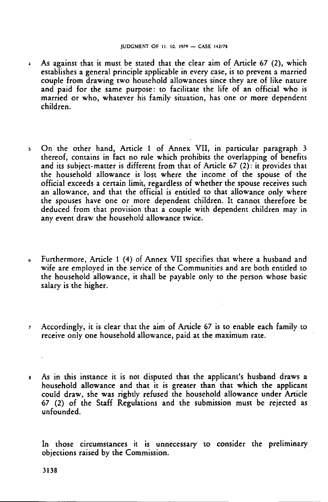- <sup>4</sup> As against that it must be stated that the clear aim of Article 67 (2), which establishes a general principle applicable in every case, is to prevent a married couple from drawing two household allowances since they are of like nature and paid for the same purpose: to facilitate the life of an official who is married or who, whatever his family situation, has one or more dependent children.
- <sup>5</sup> On the other hand, Article <sup>1</sup> of Annex VII, in particular paragraph <sup>3</sup> thereof, contains in fact no rule which prohibits the overlapping of benefits and its subject-matter is different from that of Article 67 (2): it provides that the household allowance is lost where the income of the spouse of the official exceeds <sup>a</sup> certain limit, regardless of whether the spouse receives such an allowance, and that the official is entitled to that allowance only where the spouses have one or more dependent children. It cannot therefore be deduced from that provision that <sup>a</sup> couple with dependent children may in any event draw the household allowance twice.
- <sup>6</sup> Furthermore, Article <sup>1</sup> (4) of Annex VII specifies that where <sup>a</sup> husband and wife are employed in the service of the Communities and are both entitled to the household allowance, it shall be payable only to the person whose basic salary is the higher.
- <sup>7</sup> Accordingly, it is clear that the aim of Article 67 is to enable each family to receive only one household allowance, paid at the maximum rate.
- <sup>8</sup> As in this instance it is not disputed that the applicant's husband draws a household allowance and that it is greater than that which the applicant could draw, she was rightly refused the household allowance under Article 67 (2) of the Staff Regulations and the submission must be rejected as unfounded.

In those circumstances it is unnecessary to consider the preliminary objections raised by the Commission.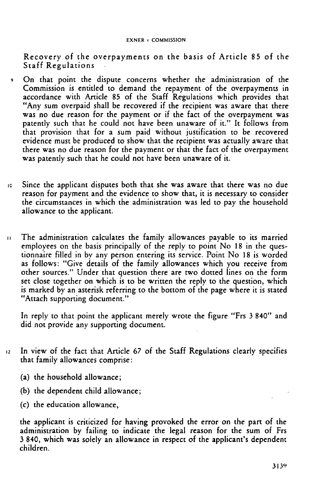Recovery of the overpayments on the basis of Article 85 of the Staff Regulations

- <sup>9</sup> On that point the dispute concerns whether the administration of the Commission is entitled to demand the repayment of the overpayments in accordance with Article 85 of the Staff Regulations which provides that "Any sum overpaid shall be recovered if the recipient was aware that there was no due reason for the payment or if the fact of the overpayment was patently such that he could not have been unaware of it." It follows from that provision that for <sup>a</sup> sum paid without justification to be recovered evidence must be produced to show that the recipient was actually aware that there was no due reason for the payment or that the fact of the overpayment was patently such that he could not have been unaware of it.
- <sup>10</sup> Since the applicant disputes both that she was aware that there was no due reason for payment and the evidence to show that, it is necessary to consider the circumstances in which the administration was led to pay the household allowance to the applicant.
- <sup>11</sup> The administration calculates the family allowances payable to its married employees on the basis principally of the reply to point No 18 in the questionnaire filled in by any person entering its service. Point No 18 is worded as follows: "Give details of the family allowances which you receive from other sources." Under that question there are two dotted lines on the form set close together on which is to be written the reply to the question, which is marked by an asterisk referring to the bottom of the page where it is stated "Attach supporting document."

In reply to that point the applicant merely wrote the figure "Frs 3 840" and did not provide any supporting document.

- <sup>12</sup> In view of the fact that Article 67 of the Staff Regulations clearly specifies that family allowances comprise:
	- (a) the household allowance;
	- (b) the dependent child allowance;
	- (c) the education allowance,

the applicant is criticized for having provoked the error on the part of the administration by failing to indicate the legal reason for the sum of Frs <sup>3</sup> 840, which was solely an allowance in respect of the applicant's dependent children.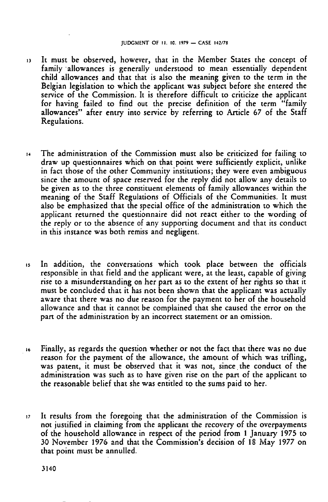- <sup>13</sup> It must be observed, however, that in the Member States the concept of family allowances is generally understood to mean essentially dependent child allowances and that that is also the meaning given to the term in the Belgian legislation to which the applicant was subject before she entered the service of the Commission. It is therefore difficult to criticize the applicant for having failed to find out the precise definition of the term "family allowances" after entry into service by referring to Article 67 of the Staff Regulations.
- <sup>14</sup> The administration of the Commission must also be criticized for failing to draw up questionnaires which on that point were sufficiently explicit, unlike in fact those of the other Community institutions; they were even ambiguous since the amount of space reserved for the reply did not allow any details to be given as to the three constituent elements of family allowances within the meaning of the Staff Regulations of Officials of the Communities. It must also be emphasized that the special office of the administration to which the applicant returned the questionnaire did not react either to the wording of the reply or to the absence of any supporting document and that its conduct in this instance was both remiss and negligent.
- <sup>15</sup> In addition, the conversations which took place between the officials responsible in that field and the applicant were, at the least, capable of giving rise to a misunderstanding on her part as to the extent of her rights so that it must be concluded that it has not been shown that the applicant was actually aware that there was no due reason for the payment to her of the household allowance and that it cannot be complained that she caused the error on the part of the administration by an incorrect statement or an omission.
- <sup>16</sup> Finally, as regards the question whether or not the fact that there was no due reason for the payment of the allowance, the amount of which was trifling, was patent, it must be observed that it was not, since the conduct of the administration was such as to have given rise on the part of the applicant to the reasonable belief that she was entitled to the sums paid to her.
- <sup>17</sup> It results from the foregoing that the administration of the Commission is not justified in claiming from the applicant the recovery of the overpayments of the household allowance in respect of the period from <sup>1</sup> January 1975 to 30 November 1976 and that the Commission's decision of <sup>18</sup> May 1977 on that point must be annulled.

3140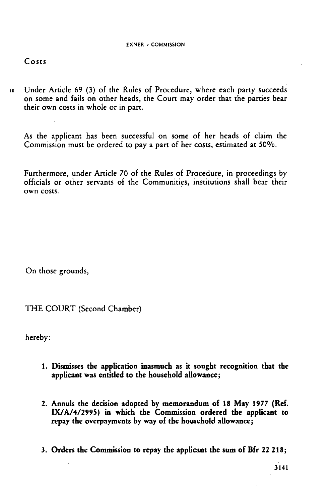# Costs

<sup>18</sup> Under Article 69 (3) of the Rules of Procedure, where each party succeeds on some and fails on other heads, the Court may order that the parties bear their own costs in whole or in part.

As the applicant has been successful on some of her heads of claim the Commission must be ordered to pay a part of her costs, estimated at 50%.

Furthermore, under Article 70 of the Rules of Procedure, in proceedings by officials or other servants of the Communities, institutions shall bear their own costs.

On those grounds,

THE COURT (Second Chamber)

hereby:

- 1. Dismisses the application inasmuch as it sought recognition that the applicant was entitled to the household allowance;
- 2. Annuls the decision adopted by memorandum of 18 May 1977 (Ref. IX/A/4/2995) in which the Commission ordered the applicant to repay the overpayments by way of the household allowance;
- 3. Orders the Commission to repay the applicant the sum of Bfr 22 218;